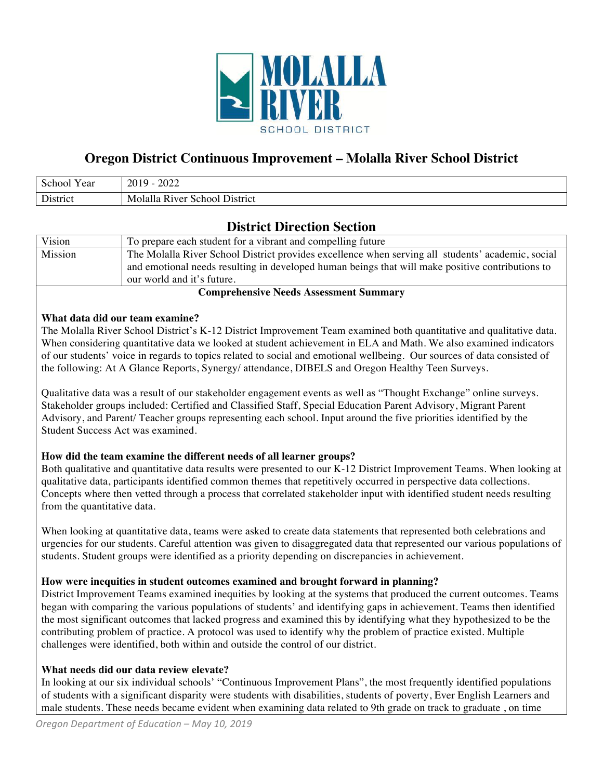

# **Oregon District Continuous Improvement – Molalla River School District**

| $\mathbf{C}$<br>′ ear    | 2022<br>2019                                       |
|--------------------------|----------------------------------------------------|
| $\mathbf{r}$<br>'istrict | Molalla<br>R <sub>1Ver</sub><br>District<br>School |

# **District Direction Section**

| Vision  | To prepare each student for a vibrant and compelling future                                       |
|---------|---------------------------------------------------------------------------------------------------|
| Mission | The Molalla River School District provides excellence when serving all students' academic, social |
|         | and emotional needs resulting in developed human beings that will make positive contributions to  |
|         | our world and it's future.                                                                        |

### **Comprehensive Needs Assessment Summary**

#### **What data did our team examine?**

The Molalla River School District's K-12 District Improvement Team examined both quantitative and qualitative data. When considering quantitative data we looked at student achievement in ELA and Math. We also examined indicators of our students' voice in regards to topics related to social and emotional wellbeing. Our sources of data consisted of the following: At A Glance Reports, Synergy/ attendance, DIBELS and Oregon Healthy Teen Surveys.

Qualitative data was a result of our stakeholder engagement events as well as "Thought Exchange" online surveys. Stakeholder groups included: Certified and Classified Staff, Special Education Parent Advisory, Migrant Parent Advisory, and Parent/ Teacher groups representing each school. Input around the five priorities identified by the Student Success Act was examined.

## **How did the team examine the different needs of all learner groups?**

Both qualitative and quantitative data results were presented to our K-12 District Improvement Teams. When looking at qualitative data, participants identified common themes that repetitively occurred in perspective data collections. Concepts where then vetted through a process that correlated stakeholder input with identified student needs resulting from the quantitative data.

When looking at quantitative data, teams were asked to create data statements that represented both celebrations and urgencies for our students. Careful attention was given to disaggregated data that represented our various populations of students. Student groups were identified as a priority depending on discrepancies in achievement.

## **How were inequities in student outcomes examined and brought forward in planning?**

District Improvement Teams examined inequities by looking at the systems that produced the current outcomes. Teams began with comparing the various populations of students' and identifying gaps in achievement. Teams then identified the most significant outcomes that lacked progress and examined this by identifying what they hypothesized to be the contributing problem of practice. A protocol was used to identify why the problem of practice existed. Multiple challenges were identified, both within and outside the control of our district.

#### **What needs did our data review elevate?**

In looking at our six individual schools' "Continuous Improvement Plans", the most frequently identified populations of students with a significant disparity were students with disabilities, students of poverty, Ever English Learners and male students. These needs became evident when examining data related to 9th grade on track to graduate , on time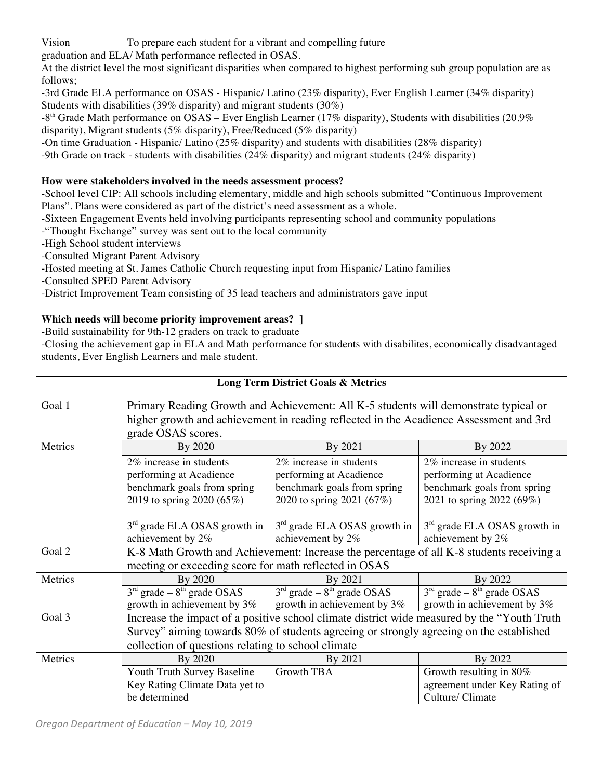| Vision | To prepare each student for a vibrant and compelling future |
|--------|-------------------------------------------------------------|
|        |                                                             |

graduation and ELA/ Math performance reflected in OSAS.

At the district level the most significant disparities when compared to highest performing sub group population are as follows;

-3rd Grade ELA performance on OSAS - Hispanic/ Latino (23% disparity), Ever English Learner (34% disparity) Students with disabilities (39% disparity) and migrant students (30%)

 $-8<sup>th</sup>$  Grade Math performance on OSAS – Ever English Learner (17% disparity), Students with disabilities (20.9%) disparity), Migrant students (5% disparity), Free/Reduced (5% disparity)

-On time Graduation - Hispanic/ Latino (25% disparity) and students with disabilities (28% disparity)

-9th Grade on track - students with disabilities (24% disparity) and migrant students (24% disparity)

## **How were stakeholders involved in the needs assessment process?**

-School level CIP: All schools including elementary, middle and high schools submitted "Continuous Improvement Plans". Plans were considered as part of the district's need assessment as a whole.

-Sixteen Engagement Events held involving participants representing school and community populations

-"Thought Exchange" survey was sent out to the local community

-High School student interviews

-Consulted Migrant Parent Advisory

-Hosted meeting at St. James Catholic Church requesting input from Hispanic/ Latino families

-Consulted SPED Parent Advisory

-District Improvement Team consisting of 35 lead teachers and administrators gave input

## **Which needs will become priority improvement areas? ]**

-Build sustainability for 9th-12 graders on track to graduate

-Closing the achievement gap in ELA and Math performance for students with disabilites, economically disadvantaged students, Ever English Learners and male student.

| <b>Long Term District Goals &amp; Metrics</b>                                                          |                                                                                          |                                                                                         |                                          |  |
|--------------------------------------------------------------------------------------------------------|------------------------------------------------------------------------------------------|-----------------------------------------------------------------------------------------|------------------------------------------|--|
| Goal 1                                                                                                 | Primary Reading Growth and Achievement: All K-5 students will demonstrate typical or     |                                                                                         |                                          |  |
|                                                                                                        |                                                                                          | higher growth and achievement in reading reflected in the Acadience Assessment and 3rd  |                                          |  |
|                                                                                                        | grade OSAS scores.                                                                       |                                                                                         |                                          |  |
| Metrics                                                                                                | By 2020                                                                                  | By 2021                                                                                 | By 2022                                  |  |
|                                                                                                        | 2% increase in students                                                                  | 2% increase in students                                                                 | 2% increase in students                  |  |
|                                                                                                        | performing at Acadience                                                                  | performing at Acadience                                                                 | performing at Acadience                  |  |
|                                                                                                        | benchmark goals from spring                                                              | benchmark goals from spring                                                             | benchmark goals from spring              |  |
|                                                                                                        | 2019 to spring 2020 (65%)                                                                | 2020 to spring 2021 (67%)                                                               | 2021 to spring 2022 (69%)                |  |
|                                                                                                        |                                                                                          |                                                                                         |                                          |  |
|                                                                                                        | $3rd$ grade ELA OSAS growth in                                                           | $3rd$ grade ELA OSAS growth in                                                          | 3 <sup>rd</sup> grade ELA OSAS growth in |  |
|                                                                                                        | achievement by 2%                                                                        | achievement by 2%                                                                       | achievement by 2%                        |  |
| Goal 2                                                                                                 | K-8 Math Growth and Achievement: Increase the percentage of all K-8 students receiving a |                                                                                         |                                          |  |
|                                                                                                        | meeting or exceeding score for math reflected in OSAS                                    |                                                                                         |                                          |  |
| Metrics                                                                                                | By 2020                                                                                  | By 2021                                                                                 | By 2022                                  |  |
|                                                                                                        | $3rd$ grade $-8th$ grade OSAS                                                            | $3rd$ grade $-8th$ grade OSAS                                                           | $3rd$ grade $-8th$ grade OSAS            |  |
|                                                                                                        | growth in achievement by $3\%$                                                           | growth in achievement by 3%                                                             | growth in achievement by 3%              |  |
| Goal 3<br>Increase the impact of a positive school climate district wide measured by the "Youth Truth" |                                                                                          |                                                                                         |                                          |  |
|                                                                                                        |                                                                                          | Survey" aiming towards 80% of students agreeing or strongly agreeing on the established |                                          |  |
|                                                                                                        | collection of questions relating to school climate                                       |                                                                                         |                                          |  |
| Metrics                                                                                                | By 2020                                                                                  | By 2021                                                                                 | By 2022                                  |  |
|                                                                                                        | Youth Truth Survey Baseline                                                              | Growth TBA                                                                              | Growth resulting in 80%                  |  |
|                                                                                                        | Key Rating Climate Data yet to                                                           |                                                                                         | agreement under Key Rating of            |  |
|                                                                                                        | be determined                                                                            |                                                                                         | Culture/ Climate                         |  |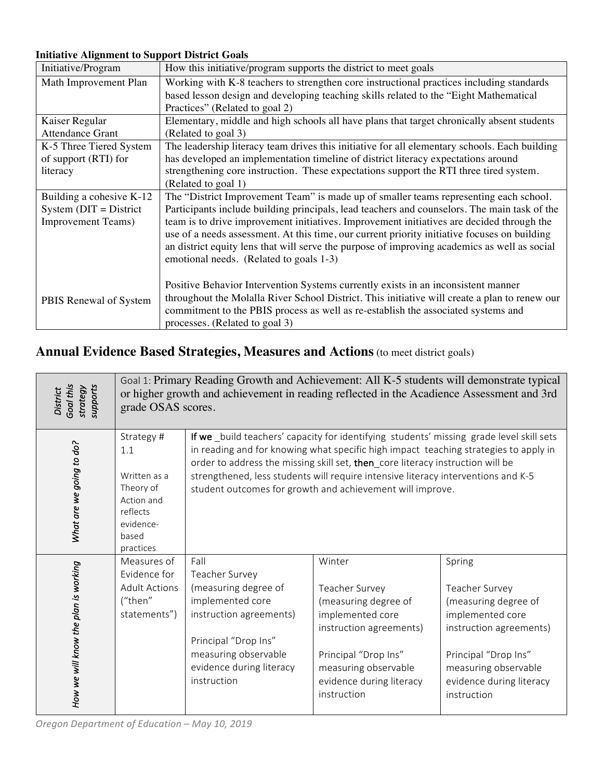# **Initiative Alignment to Support District Goals**

| Initiative/Program         | How this initiative/program supports the district to meet goals                               |
|----------------------------|-----------------------------------------------------------------------------------------------|
| Math Improvement Plan      | Working with K-8 teachers to strengthen core instructional practices including standards      |
|                            | based lesson design and developing teaching skills related to the "Eight Mathematical"        |
|                            | Practices" (Related to goal 2)                                                                |
| Kaiser Regular             | Elementary, middle and high schools all have plans that target chronically absent students    |
| Attendance Grant           | (Related to goal 3)                                                                           |
| K-5 Three Tiered System    | The leadership literacy team drives this initiative for all elementary schools. Each building |
| of support (RTI) for       | has developed an implementation timeline of district literacy expectations around             |
| literacy                   | strengthening core instruction. These expectations support the RTI three tired system.        |
|                            | (Related to goal 1)                                                                           |
| Building a cohesive K-12   | The "District Improvement Team" is made up of smaller teams representing each school.         |
| System $(DIT = District$   | Participants include building principals, lead teachers and counselors. The main task of the  |
| <b>Improvement Teams</b> ) | team is to drive improvement initiatives. Improvement initiatives are decided through the     |
|                            | use of a needs assessment. At this time, our current priority initiative focuses on building  |
|                            | an district equity lens that will serve the purpose of improving academics as well as social  |
|                            | emotional needs. (Related to goals 1-3)                                                       |
|                            |                                                                                               |
|                            | Positive Behavior Intervention Systems currently exists in an inconsistent manner             |
| PBIS Renewal of System     | throughout the Molalla River School District. This initiative will create a plan to renew our |
|                            | commitment to the PBIS process as well as re-establish the associated systems and             |
|                            | processes. (Related to goal 3)                                                                |

# **Annual Evidence Based Strategies, Measures and Actions** (to meet district goals)

| Goal this<br>supports<br>strategy<br>District | Goal 1: Primary Reading Growth and Achievement: All K-5 students will demonstrate typical<br>or higher growth and achievement in reading reflected in the Acadience Assessment and 3rd<br>grade OSAS scores. |                                                                                                                                                                                          |                                                                                                                                                                                                                                                                                                                                                                                                                      |                                                                                                                                                                                            |
|-----------------------------------------------|--------------------------------------------------------------------------------------------------------------------------------------------------------------------------------------------------------------|------------------------------------------------------------------------------------------------------------------------------------------------------------------------------------------|----------------------------------------------------------------------------------------------------------------------------------------------------------------------------------------------------------------------------------------------------------------------------------------------------------------------------------------------------------------------------------------------------------------------|--------------------------------------------------------------------------------------------------------------------------------------------------------------------------------------------|
| What are we going to do?                      | Strategy #<br>1.1<br>Written as a<br>Theory of<br>Action and<br>reflects<br>evidence-<br>based<br>practices                                                                                                  |                                                                                                                                                                                          | If we _build teachers' capacity for identifying students' missing grade level skill sets<br>in reading and for knowing what specific high impact teaching strategies to apply in<br>order to address the missing skill set, then_core literacy instruction will be<br>strengthened, less students will require intensive literacy interventions and K-5<br>student outcomes for growth and achievement will improve. |                                                                                                                                                                                            |
| How we will know the plan is working          | Measures of<br>Evidence for<br><b>Adult Actions</b><br>("then"<br>statements")                                                                                                                               | Fall<br>Teacher Survey<br>(measuring degree of<br>implemented core<br>instruction agreements)<br>Principal "Drop Ins"<br>measuring observable<br>evidence during literacy<br>instruction | Winter<br>Teacher Survey<br>(measuring degree of<br>implemented core<br>instruction agreements)<br>Principal "Drop Ins"<br>measuring observable<br>evidence during literacy<br>instruction                                                                                                                                                                                                                           | Spring<br>Teacher Survey<br>(measuring degree of<br>implemented core<br>instruction agreements)<br>Principal "Drop Ins"<br>measuring observable<br>evidence during literacy<br>instruction |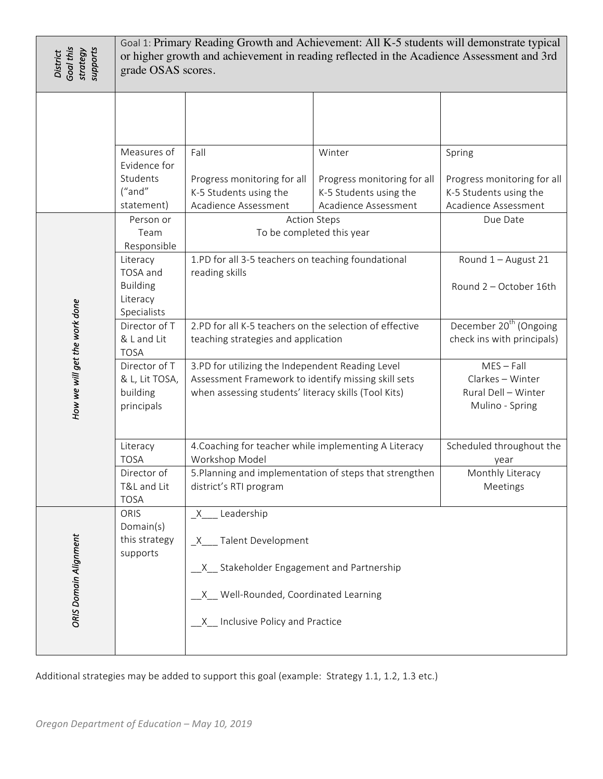| Goal this<br>strategy<br>supports<br><b>District</b> | Goal 1: Primary Reading Growth and Achievement: All K-5 students will demonstrate typical<br>or higher growth and achievement in reading reflected in the Acadience Assessment and 3rd<br>grade OSAS scores. |                                                                                                                                                                 |                                                |                                                                            |  |
|------------------------------------------------------|--------------------------------------------------------------------------------------------------------------------------------------------------------------------------------------------------------------|-----------------------------------------------------------------------------------------------------------------------------------------------------------------|------------------------------------------------|----------------------------------------------------------------------------|--|
|                                                      | Measures of<br>Evidence for<br>Students                                                                                                                                                                      | Fall<br>Progress monitoring for all                                                                                                                             | Winter<br>Progress monitoring for all          | Spring<br>Progress monitoring for all                                      |  |
|                                                      | ("and"<br>statement)                                                                                                                                                                                         | K-5 Students using the<br>Acadience Assessment                                                                                                                  | K-5 Students using the<br>Acadience Assessment | K-5 Students using the<br>Acadience Assessment                             |  |
|                                                      | Person or<br>Team<br>Responsible                                                                                                                                                                             | To be completed this year                                                                                                                                       | <b>Action Steps</b>                            | Due Date                                                                   |  |
|                                                      | Literacy<br>TOSA and<br><b>Building</b><br>Literacy<br>Specialists                                                                                                                                           | 1.PD for all 3-5 teachers on teaching foundational<br>reading skills                                                                                            |                                                | Round 1 - August 21<br>Round 2 - October 16th                              |  |
|                                                      | Director of T<br>& L and Lit<br><b>TOSA</b>                                                                                                                                                                  | 2.PD for all K-5 teachers on the selection of effective<br>teaching strategies and application                                                                  |                                                | December 20 <sup>th</sup> (Ongoing<br>check ins with principals)           |  |
| How we will get the work done                        | Director of T<br>& L, Lit TOSA,<br>building<br>principals                                                                                                                                                    | 3.PD for utilizing the Independent Reading Level<br>Assessment Framework to identify missing skill sets<br>when assessing students' literacy skills (Tool Kits) |                                                | $MES - Fall$<br>Clarkes - Winter<br>Rural Dell - Winter<br>Mulino - Spring |  |
|                                                      | Literacy<br><b>TOSA</b><br>Director of                                                                                                                                                                       | 4. Coaching for teacher while implementing A Literacy<br>Workshop Model<br>5. Planning and implementation of steps that strengthen                              |                                                | Scheduled throughout the<br>year<br>Monthly Literacy                       |  |
|                                                      | T&L and Lit<br><b>TOSA</b>                                                                                                                                                                                   | district's RTI program                                                                                                                                          |                                                | Meetings                                                                   |  |
|                                                      | ORIS<br>Domain(s)<br>this strategy<br>supports                                                                                                                                                               | Leadership<br>X<br>X Talent Development                                                                                                                         |                                                |                                                                            |  |
| ORIS Domain Alignment                                |                                                                                                                                                                                                              | X Stakeholder Engagement and Partnership<br>X Well-Rounded, Coordinated Learning                                                                                |                                                |                                                                            |  |
|                                                      |                                                                                                                                                                                                              | X Inclusive Policy and Practice                                                                                                                                 |                                                |                                                                            |  |
|                                                      | Additional strategies may be added to support this goal (example: Strategy 1.1, 1.2, 1.3 etc.)                                                                                                               |                                                                                                                                                                 |                                                |                                                                            |  |
| Oregon Department of Education - May 10, 2019        |                                                                                                                                                                                                              |                                                                                                                                                                 |                                                |                                                                            |  |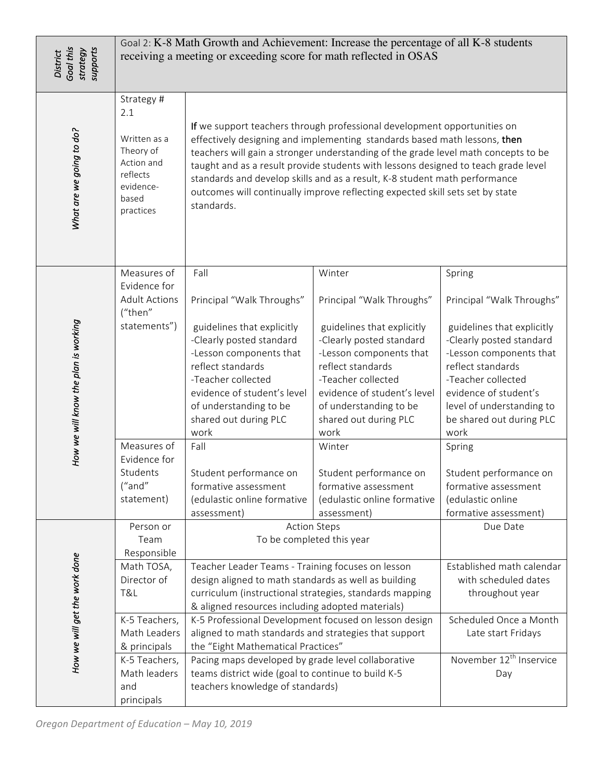| Goal this<br>supports<br>strategy<br><b>District</b> | Goal 2: K-8 Math Growth and Achievement: Increase the percentage of all K-8 students<br>receiving a meeting or exceeding score for math reflected in OSAS                   |                                                                                                                                                                                                                                                                                                                                                                                                                                                                                                                                                                                      |                                                                                                                                                                                                                                                                                                                                                          |                                                                                                                                                                                                                                                                                                                                                |
|------------------------------------------------------|-----------------------------------------------------------------------------------------------------------------------------------------------------------------------------|--------------------------------------------------------------------------------------------------------------------------------------------------------------------------------------------------------------------------------------------------------------------------------------------------------------------------------------------------------------------------------------------------------------------------------------------------------------------------------------------------------------------------------------------------------------------------------------|----------------------------------------------------------------------------------------------------------------------------------------------------------------------------------------------------------------------------------------------------------------------------------------------------------------------------------------------------------|------------------------------------------------------------------------------------------------------------------------------------------------------------------------------------------------------------------------------------------------------------------------------------------------------------------------------------------------|
| What are we going to do?                             | Strategy #<br>2.1<br>Written as a<br>Theory of<br>Action and<br>reflects<br>evidence-<br>based<br>practices                                                                 | If we support teachers through professional development opportunities on<br>effectively designing and implementing standards based math lessons, then<br>teachers will gain a stronger understanding of the grade level math concepts to be<br>taught and as a result provide students with lessons designed to teach grade level<br>standards and develop skills and as a result, K-8 student math performance<br>outcomes will continually improve reflecting expected skill sets set by state<br>standards.                                                                       |                                                                                                                                                                                                                                                                                                                                                          |                                                                                                                                                                                                                                                                                                                                                |
| How we will know the plan is working                 | Measures of<br>Evidence for<br><b>Adult Actions</b><br>("then"<br>statements")<br>Measures of<br>Evidence for<br>Students<br>("and"<br>statement)                           | Fall<br>Principal "Walk Throughs"<br>guidelines that explicitly<br>-Clearly posted standard<br>-Lesson components that<br>reflect standards<br>-Teacher collected<br>evidence of student's level<br>of understanding to be<br>shared out during PLC<br>work<br>Fall<br>Student performance on<br>formative assessment<br>(edulastic online formative                                                                                                                                                                                                                                 | Winter<br>Principal "Walk Throughs"<br>guidelines that explicitly<br>-Clearly posted standard<br>-Lesson components that<br>reflect standards<br>-Teacher collected<br>evidence of student's level<br>of understanding to be<br>shared out during PLC<br>work<br>Winter<br>Student performance on<br>formative assessment<br>(edulastic online formative | Spring<br>Principal "Walk Throughs"<br>guidelines that explicitly<br>-Clearly posted standard<br>-Lesson components that<br>reflect standards<br>-Teacher collected<br>evidence of student's<br>level of understanding to<br>be shared out during PLC<br>work<br>Spring<br>Student performance on<br>formative assessment<br>(edulastic online |
| How we will get the work done                        | Person or<br>Team<br>Responsible<br>Math TOSA,<br>Director of<br>T&L<br>K-5 Teachers,<br>Math Leaders<br>& principals<br>K-5 Teachers,<br>Math leaders<br>and<br>principals | <b>Action Steps</b><br>To be completed this year<br>Teacher Leader Teams - Training focuses on lesson<br>design aligned to math standards as well as building<br>curriculum (instructional strategies, standards mapping<br>& aligned resources including adopted materials)<br>K-5 Professional Development focused on lesson design<br>aligned to math standards and strategies that support<br>the "Eight Mathematical Practices"<br>Pacing maps developed by grade level collaborative<br>teams district wide (goal to continue to build K-5<br>teachers knowledge of standards) |                                                                                                                                                                                                                                                                                                                                                          | Due Date<br>Established math calendar<br>with scheduled dates<br>throughout year<br>Scheduled Once a Month<br>Late start Fridays<br>November 12 <sup>th</sup> Inservice<br>Day                                                                                                                                                                 |
| Oregon Department of Education - May 10, 2019        |                                                                                                                                                                             | assessment)                                                                                                                                                                                                                                                                                                                                                                                                                                                                                                                                                                          | assessment)                                                                                                                                                                                                                                                                                                                                              | formative assessment)                                                                                                                                                                                                                                                                                                                          |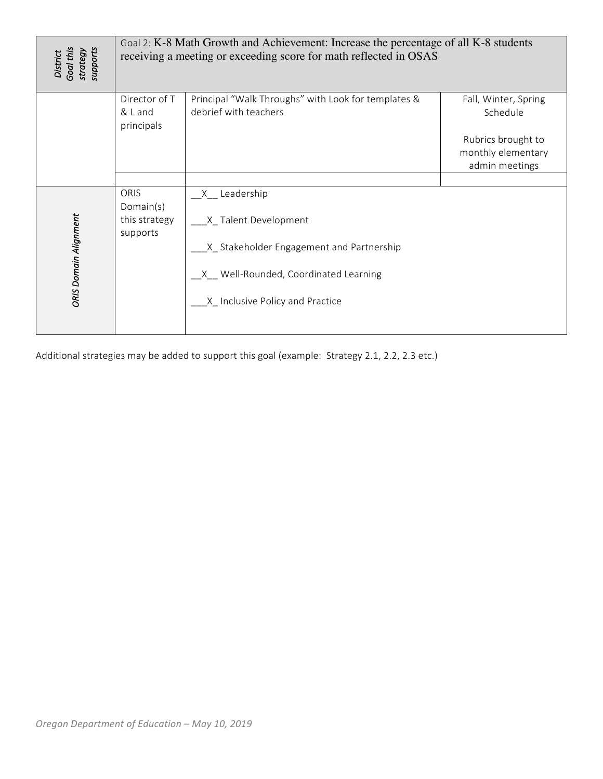| District<br>Goal this<br>supports<br>strategy | Goal 2: K-8 Math Growth and Achievement: Increase the percentage of all K-8 students<br>receiving a meeting or exceeding score for math reflected in OSAS |                                                                                                                                                                     |                                                                                                |
|-----------------------------------------------|-----------------------------------------------------------------------------------------------------------------------------------------------------------|---------------------------------------------------------------------------------------------------------------------------------------------------------------------|------------------------------------------------------------------------------------------------|
|                                               | Director of T<br>& L and<br>principals                                                                                                                    | Principal "Walk Throughs" with Look for templates &<br>debrief with teachers                                                                                        | Fall, Winter, Spring<br>Schedule<br>Rubrics brought to<br>monthly elementary<br>admin meetings |
| ORIS Domain Alignment                         | ORIS<br>Domain(s)<br>this strategy<br>supports                                                                                                            | _X__ Leadership<br>_X_Talent Development<br>__X_Stakeholder Engagement and Partnership<br>_X_ Well-Rounded, Coordinated Learning<br>X Inclusive Policy and Practice |                                                                                                |
|                                               |                                                                                                                                                           | Additional strategies may be added to support this goal (example: Strategy 2.1, 2.2, 2.3 etc.)                                                                      |                                                                                                |
| Oregon Department of Education - May 10, 2019 |                                                                                                                                                           |                                                                                                                                                                     |                                                                                                |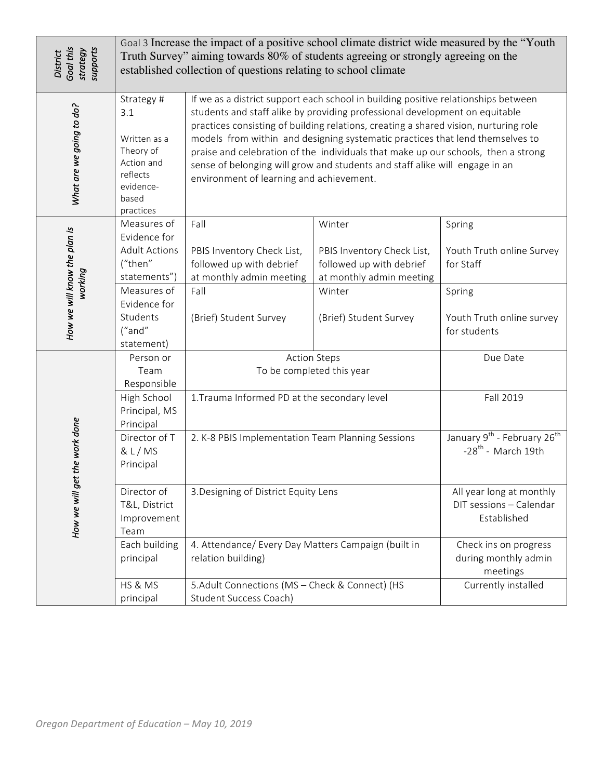| Goal this<br>supports<br>strategy<br><b>District</b> | Goal 3 Increase the impact of a positive school climate district wide measured by the "Youth"<br>Truth Survey" aiming towards 80% of students agreeing or strongly agreeing on the<br>established collection of questions relating to school climate |                                                                                                                                                                                                                                                                                                                                                                                                                                                                                                                                                            |                                                                                              |                                                                                         |
|------------------------------------------------------|------------------------------------------------------------------------------------------------------------------------------------------------------------------------------------------------------------------------------------------------------|------------------------------------------------------------------------------------------------------------------------------------------------------------------------------------------------------------------------------------------------------------------------------------------------------------------------------------------------------------------------------------------------------------------------------------------------------------------------------------------------------------------------------------------------------------|----------------------------------------------------------------------------------------------|-----------------------------------------------------------------------------------------|
| What are we going to do?                             | Strategy #<br>3.1<br>Written as a<br>Theory of<br>Action and<br>reflects<br>evidence-<br>based<br>practices                                                                                                                                          | If we as a district support each school in building positive relationships between<br>students and staff alike by providing professional development on equitable<br>practices consisting of building relations, creating a shared vision, nurturing role<br>models from within and designing systematic practices that lend themselves to<br>praise and celebration of the individuals that make up our schools, then a strong<br>sense of belonging will grow and students and staff alike will engage in an<br>environment of learning and achievement. |                                                                                              |                                                                                         |
| How we will know the plan is<br>working              | Measures of<br>Evidence for<br><b>Adult Actions</b><br>("then"<br>statements")                                                                                                                                                                       | Fall<br>PBIS Inventory Check List,<br>followed up with debrief<br>at monthly admin meeting                                                                                                                                                                                                                                                                                                                                                                                                                                                                 | Winter<br>PBIS Inventory Check List,<br>followed up with debrief<br>at monthly admin meeting | Spring<br>Youth Truth online Survey<br>for Staff                                        |
|                                                      | Measures of<br>Evidence for<br>Students<br>("and"<br>statement)                                                                                                                                                                                      | Fall<br>(Brief) Student Survey                                                                                                                                                                                                                                                                                                                                                                                                                                                                                                                             | Winter<br>(Brief) Student Survey                                                             | Spring<br>Youth Truth online survey<br>for students                                     |
| the work done<br>How we will get                     | Person or<br>Team<br>Responsible<br>High School<br>Principal, MS<br>Principal                                                                                                                                                                        | <b>Action Steps</b><br>To be completed this year<br>1. Trauma Informed PD at the secondary level                                                                                                                                                                                                                                                                                                                                                                                                                                                           |                                                                                              | Due Date<br>Fall 2019                                                                   |
|                                                      | Director of T<br>& L/MS<br>Principal                                                                                                                                                                                                                 | 2. K-8 PBIS Implementation Team Planning Sessions                                                                                                                                                                                                                                                                                                                                                                                                                                                                                                          |                                                                                              | January 9 <sup>th</sup> - February 26 <sup>th</sup><br>$-28$ <sup>th</sup> - March 19th |
|                                                      | Director of<br>T&L, District<br>Improvement<br>Team                                                                                                                                                                                                  | 3. Designing of District Equity Lens                                                                                                                                                                                                                                                                                                                                                                                                                                                                                                                       |                                                                                              | All year long at monthly<br>DIT sessions - Calendar<br>Established                      |
|                                                      | Each building<br>principal                                                                                                                                                                                                                           | 4. Attendance/ Every Day Matters Campaign (built in<br>relation building)                                                                                                                                                                                                                                                                                                                                                                                                                                                                                  |                                                                                              | Check ins on progress<br>during monthly admin<br>meetings                               |
|                                                      | HS & MS<br>principal                                                                                                                                                                                                                                 | 5.Adult Connections (MS - Check & Connect) (HS<br>Student Success Coach)                                                                                                                                                                                                                                                                                                                                                                                                                                                                                   |                                                                                              | Currently installed                                                                     |
| Oregon Department of Education - May 10, 2019        |                                                                                                                                                                                                                                                      |                                                                                                                                                                                                                                                                                                                                                                                                                                                                                                                                                            |                                                                                              |                                                                                         |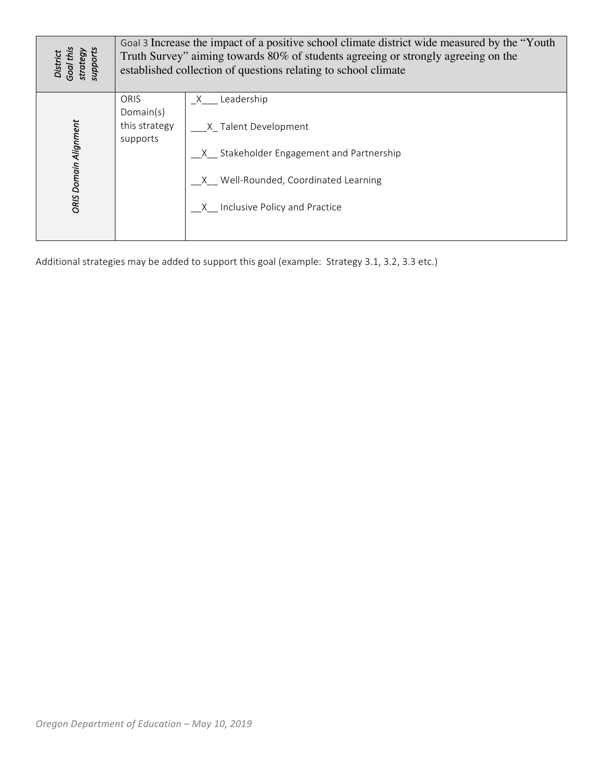| District<br>Goal this<br>supports<br>strategy | Goal 3 Increase the impact of a positive school climate district wide measured by the "Youth<br>Truth Survey" aiming towards 80% of students agreeing or strongly agreeing on the<br>established collection of questions relating to school climate |                                                                                                                                                                            |  |
|-----------------------------------------------|-----------------------------------------------------------------------------------------------------------------------------------------------------------------------------------------------------------------------------------------------------|----------------------------------------------------------------------------------------------------------------------------------------------------------------------------|--|
| ORIS Domain Alignment                         | ORIS<br>Domain(s)<br>this strategy<br>supports                                                                                                                                                                                                      | _X___ Leadership<br>___X_Talent Development<br>_X_ Stakeholder Engagement and Partnership<br>_X__ Well-Rounded, Coordinated Learning<br>_X__ Inclusive Policy and Practice |  |
|                                               |                                                                                                                                                                                                                                                     | Additional strategies may be added to support this goal (example: Strategy 3.1, 3.2, 3.3 etc.)                                                                             |  |
| Oregon Department of Education - May 10, 2019 |                                                                                                                                                                                                                                                     |                                                                                                                                                                            |  |